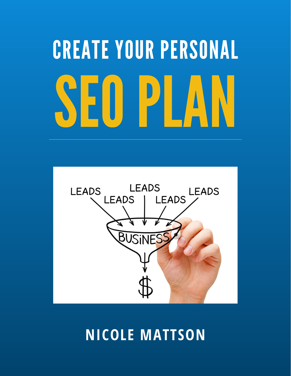# SEOPLAN CREATE YOUR PERSONAL



### **NICOLE MATTSON**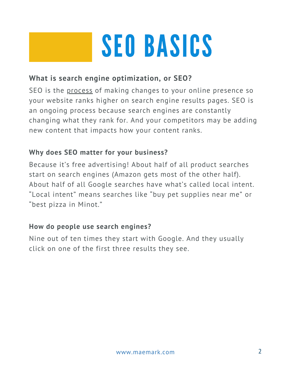### SEO BASICS

#### **What is search engine optimization, or SEO?**

SEO is the process of making changes to your online presence so your website ranks higher on search engine results pages. SEO is an ongoing process because search engines are constantly changing what they rank for. And your competitors may be adding new content that impacts how your content ranks.

#### **Why does SEO matter for your business?**

Because it's free advertising! About half of all product searches start on search engines (Amazon gets most of the other half). About half of all Google searches have what's called local intent. "Local intent" means searches like "buy pet supplies near me" or "best pizza in Minot."

#### **How do people use search engines?**

Nine out of ten times they start with Google. And they usually click on one of the first three results they see.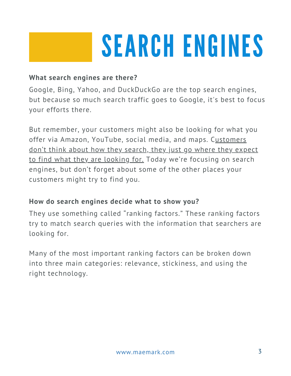### SEARCH ENGINES

#### **What search engines are there?**

Google, Bing, Yahoo, and DuckDuckGo are the top search engines, but because so much search traffic goes to Google, it's best to focus your efforts there.

But remember, your customers might also be looking for what you offer via Amazon, YouTube, social media, and maps. Customers don't think about how they search, they just go where they expect to find what they are looking for. Today we're focusing on search engines, but don't forget about some of the other places your customers might try to find you.

#### **How do search engines decide what to show you?**

They use something called "ranking factors." These ranking factors try to match search queries with the information that searchers are looking for.

Many of the most important ranking factors can be broken down into three main categories: relevance, stickiness, and using the right technology.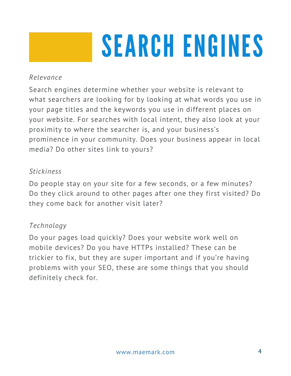### SEARCH ENGINES

#### *Relevance*

Search engines determine whether your website is relevant to what searchers are looking for by looking at what words you use in your page titles and the keywords you use in different places on your website. For searches with local intent, they also look at your proximity to where the searcher is, and your business's prominence in your community. Does your business appear in local media? Do other sites link to yours?

#### *Stickiness*

Do people stay on your site for a few seconds, or a few minutes? Do they click around to other pages after one they first visited? Do they come back for another visit later?

#### *Technology*

Do your pages load quickly? Does your website work well on mobile devices? Do you have HTTPs installed? These can be trickier to fix, but they are super important and if you're having problems with your SEO, these are some things that you should definitely check for.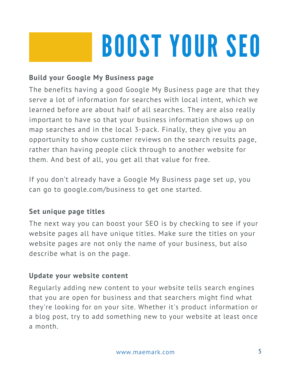## BOOST YOUR SEO

#### **Build your Google My Business page**

The benefits having a good Google My Business page are that they serve a lot of information for searches with local intent, which we learned before are about half of all searches. They are also really important to have so that your business information shows up on map searches and in the local 3-pack. Finally, they give you an opportunity to show customer reviews on the search results page, rather than having people click through to another website for them. And best of all, you get all that value for free.

If you don't already have a Google My Business page set up, you can go to [google.com/business](http://google.com/business) to get one started.

#### **Set unique page titles**

The next way you can boost your SEO is by checking to see if your website pages all have unique titles. Make sure the titles on your website pages are not only the name of your business, but also describe what is on the page.

#### **Update your website content**

Regularly adding new content to your website tells search engines that you are open for business and that searchers might find what they're looking for on your site. Whether it's product information or a blog post, try to add something new to your website at least once a month.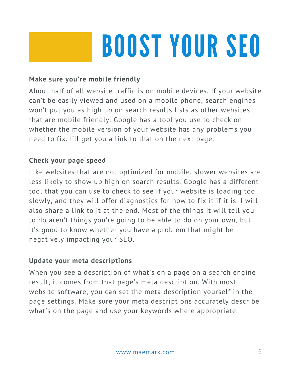## BOOST YOUR SEO

#### **Make sure you're mobile friendly**

About half of all website traffic is on mobile devices. If your website can't be easily viewed and used on a mobile phone, search engines won't put you as high up on search results lists as other websites that are mobile friendly. Google has a tool you use to check on whether the mobile version of your website has any problems you need to fix. I'll get you a link to that on the next page.

#### **Check your page speed**

Like websites that are not optimized for mobile, slower websites are less likely to show up high on search results. Google has a different tool that you can use to check to see if your website is loading too slowly, and they will offer diagnostics for how to fix it if it is. I will also share a link to it at the end. Most of the things it will tell you to do aren't things you're going to be able to do on your own, but it's good to know whether you have a problem that might be negatively impacting your SEO.

#### **Update your meta descriptions**

When you see a description of what's on a page on a search engine result, it comes from that page's meta description. With most website software, you can set the meta description yourself in the page settings. Make sure your meta descriptions accurately describe what's on the page and use your keywords where appropriate.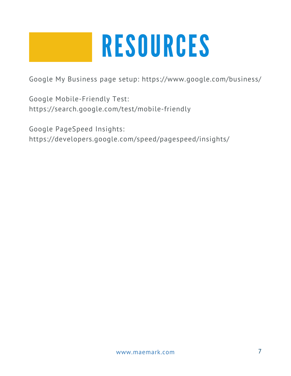### RESOURCES

Google My Business page setup: <https://www.google.com/business/>

Google Mobile-Friendly Test: <https://search.google.com/test/mobile-friendly>

Google PageSpeed Insights: <https://developers.google.com/speed/pagespeed/insights/>